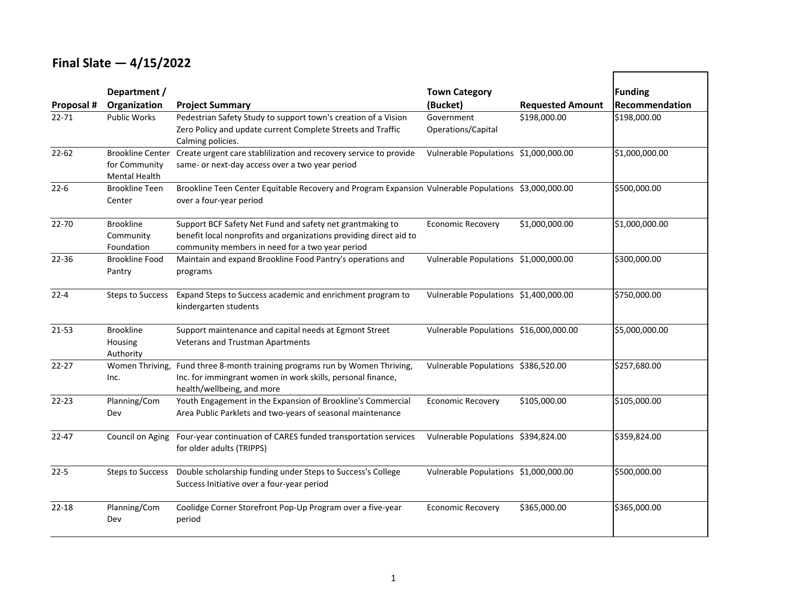### **Final Slate — 4/15/2022**

|            | Department /                                              |                                                                                                                                                                                    | <b>Town Category</b>                   |                         | Funding        |
|------------|-----------------------------------------------------------|------------------------------------------------------------------------------------------------------------------------------------------------------------------------------------|----------------------------------------|-------------------------|----------------|
| Proposal # | Organization                                              | <b>Project Summary</b>                                                                                                                                                             | (Bucket)                               | <b>Requested Amount</b> | Recommendation |
| $22 - 71$  | <b>Public Works</b>                                       | Pedestrian Safety Study to support town's creation of a Vision<br>Zero Policy and update current Complete Streets and Traffic<br>Calming policies.                                 | Government<br>Operations/Capital       | \$198,000.00            | \$198,000.00   |
| $22 - 62$  | <b>Brookline Center</b><br>for Community<br>Mental Health | Create urgent care stablilization and recovery service to provide<br>same- or next-day access over a two year period                                                               | Vulnerable Populations \$1,000,000.00  |                         | \$1,000,000.00 |
| $22 - 6$   | <b>Brookline Teen</b><br>Center                           | Brookline Teen Center Equitable Recovery and Program Expansion Vulnerable Populations \$3,000,000.00<br>over a four-year period                                                    |                                        |                         | \$500,000.00   |
| 22-70      | <b>Brookline</b><br>Community<br>Foundation               | Support BCF Safety Net Fund and safety net grantmaking to<br>benefit local nonprofits and organizations providing direct aid to<br>community members in need for a two year period | <b>Economic Recovery</b>               | \$1,000,000.00          | \$1,000,000.00 |
| 22-36      | <b>Brookline Food</b><br>Pantry                           | Maintain and expand Brookline Food Pantry's operations and<br>programs                                                                                                             | Vulnerable Populations \$1,000,000.00  |                         | \$300,000.00   |
| $22 - 4$   | <b>Steps to Success</b>                                   | Expand Steps to Success academic and enrichment program to<br>kindergarten students                                                                                                | Vulnerable Populations \$1,400,000.00  |                         | \$750,000.00   |
| $21 - 53$  | <b>Brookline</b><br>Housing<br>Authority                  | Support maintenance and capital needs at Egmont Street<br>Veterans and Trustman Apartments                                                                                         | Vulnerable Populations \$16,000,000.00 |                         | \$5,000,000.00 |
| $22 - 27$  | Women Thriving,<br>Inc.                                   | Fund three 8-month training programs run by Women Thriving,<br>Inc. for immingrant women in work skills, personal finance,<br>health/wellbeing, and more                           | Vulnerable Populations \$386,520.00    |                         | \$257,680.00   |
| $22 - 23$  | Planning/Com<br>Dev                                       | Youth Engagement in the Expansion of Brookline's Commercial<br>Area Public Parklets and two-years of seasonal maintenance                                                          | <b>Economic Recovery</b>               | \$105,000.00            | \$105,000.00   |
| $22 - 47$  | Council on Aging                                          | Four-year continuation of CARES funded transportation services<br>for older adults (TRIPPS)                                                                                        | Vulnerable Populations \$394,824.00    |                         | \$359,824.00   |
| $22 - 5$   | Steps to Success                                          | Double scholarship funding under Steps to Success's College<br>Success Initiative over a four-year period                                                                          | Vulnerable Populations \$1,000,000.00  |                         | \$500,000.00   |
| $22 - 18$  | Planning/Com<br>Dev                                       | Coolidge Corner Storefront Pop-Up Program over a five-year<br>period                                                                                                               | <b>Economic Recovery</b>               | \$365,000.00            | \$365,000.00   |

┍

┑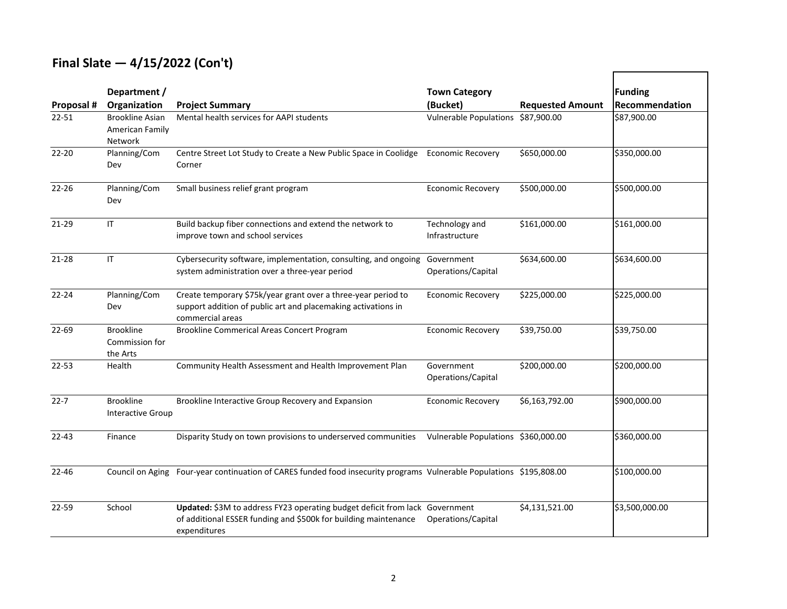## **Final Slate — 4/15/2022 (Con't)**

|            | Department /                                   |                                                                                                                                                                | <b>Town Category</b>                |                         | <b>Funding</b> |
|------------|------------------------------------------------|----------------------------------------------------------------------------------------------------------------------------------------------------------------|-------------------------------------|-------------------------|----------------|
| Proposal # | Organization                                   | <b>Project Summary</b>                                                                                                                                         | (Bucket)                            | <b>Requested Amount</b> | Recommendation |
| $22 - 51$  | Brookline Asian<br>American Family<br>Network  | Mental health services for AAPI students                                                                                                                       | Vulnerable Populations \$87,900.00  |                         | \$87,900.00    |
| $22 - 20$  | Planning/Com<br>Dev                            | Centre Street Lot Study to Create a New Public Space in Coolidge<br>Corner                                                                                     | <b>Economic Recovery</b>            | \$650,000.00            | \$350,000.00   |
| $22 - 26$  | Planning/Com<br>Dev                            | Small business relief grant program                                                                                                                            | <b>Economic Recovery</b>            | \$500,000.00            | \$500,000.00   |
| $21 - 29$  | $\mathsf{I}\mathsf{T}$                         | Build backup fiber connections and extend the network to<br>improve town and school services                                                                   | Technology and<br>Infrastructure    | \$161,000.00            | \$161,000.00   |
| $21 - 28$  | $\mathsf{I}\mathsf{T}$                         | Cybersecurity software, implementation, consulting, and ongoing<br>system administration over a three-year period                                              | Government<br>Operations/Capital    | \$634,600.00            | \$634,600.00   |
| $22 - 24$  | Planning/Com<br>Dev                            | Create temporary \$75k/year grant over a three-year period to<br>support addition of public art and placemaking activations in<br>commercial areas             | <b>Economic Recovery</b>            | \$225,000.00            | \$225,000.00   |
| 22-69      | <b>Brookline</b><br>Commission for<br>the Arts | <b>Brookline Commerical Areas Concert Program</b>                                                                                                              | <b>Economic Recovery</b>            | \$39,750.00             | \$39,750.00    |
| $22 - 53$  | Health                                         | Community Health Assessment and Health Improvement Plan                                                                                                        | Government<br>Operations/Capital    | \$200,000.00            | \$200,000.00   |
| $22 - 7$   | <b>Brookline</b><br>Interactive Group          | Brookline Interactive Group Recovery and Expansion                                                                                                             | <b>Economic Recovery</b>            | \$6,163,792.00          | \$900,000.00   |
| $22 - 43$  | Finance                                        | Disparity Study on town provisions to underserved communities                                                                                                  | Vulnerable Populations \$360,000.00 |                         | \$360,000.00   |
| $22 - 46$  |                                                | Council on Aging Four-year continuation of CARES funded food insecurity programs Vulnerable Populations \$195,808.00                                           |                                     |                         | \$100,000.00   |
| 22-59      | School                                         | Updated: \$3M to address FY23 operating budget deficit from lack Government<br>of additional ESSER funding and \$500k for building maintenance<br>expenditures | Operations/Capital                  | \$4,131,521.00          | \$3,500,000.00 |

┍

┑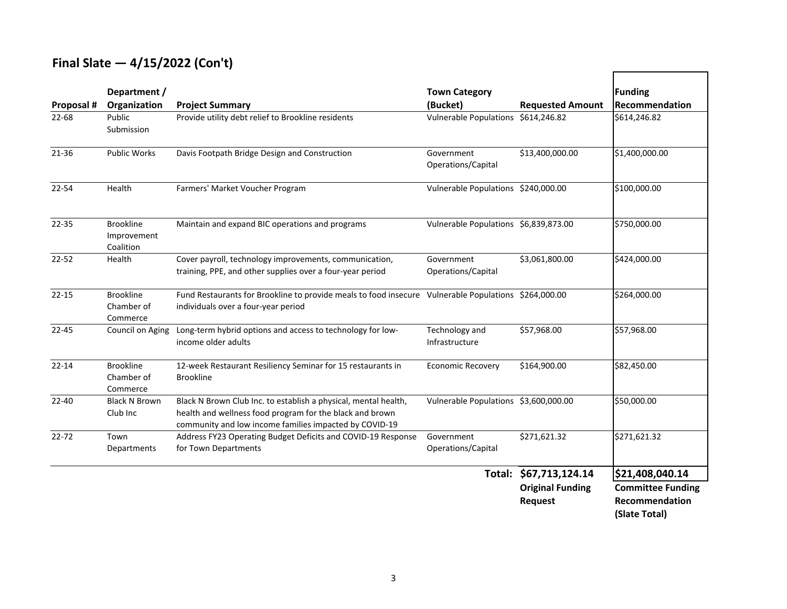### **Final Slate — 4/15/2022 (Con't)**

| Proposal # | Department /<br>Organization                 | <b>Project Summary</b>                                                                                                                                                                | <b>Town Category</b><br>(Bucket)      | <b>Requested Amount</b>                                             | <b>Funding</b><br>Recommendation                                               |
|------------|----------------------------------------------|---------------------------------------------------------------------------------------------------------------------------------------------------------------------------------------|---------------------------------------|---------------------------------------------------------------------|--------------------------------------------------------------------------------|
| 22-68      | Public<br>Submission                         | Provide utility debt relief to Brookline residents                                                                                                                                    | Vulnerable Populations \$614,246.82   |                                                                     | \$614,246.82                                                                   |
| $21 - 36$  | <b>Public Works</b>                          | Davis Footpath Bridge Design and Construction                                                                                                                                         | Government<br>Operations/Capital      | \$13,400,000.00                                                     | \$1,400,000.00                                                                 |
| 22-54      | Health                                       | Farmers' Market Voucher Program                                                                                                                                                       | Vulnerable Populations \$240,000.00   |                                                                     | \$100,000.00                                                                   |
| 22-35      | <b>Brookline</b><br>Improvement<br>Coalition | Maintain and expand BIC operations and programs                                                                                                                                       | Vulnerable Populations \$6,839,873.00 |                                                                     | \$750,000.00                                                                   |
| $22 - 52$  | Health                                       | Cover payroll, technology improvements, communication,<br>training, PPE, and other supplies over a four-year period                                                                   | Government<br>Operations/Capital      | \$3,061,800.00                                                      | \$424,000.00                                                                   |
| $22 - 15$  | <b>Brookline</b><br>Chamber of<br>Commerce   | Fund Restaurants for Brookline to provide meals to food insecure Vulnerable Populations \$264,000.00<br>individuals over a four-year period                                           |                                       |                                                                     | \$264,000.00                                                                   |
| $22 - 45$  | Council on Aging                             | Long-term hybrid options and access to technology for low-<br>income older adults                                                                                                     | Technology and<br>Infrastructure      | \$57,968.00                                                         | \$57,968.00                                                                    |
| $22 - 14$  | <b>Brookline</b><br>Chamber of<br>Commerce   | 12-week Restaurant Resiliency Seminar for 15 restaurants in<br><b>Brookline</b>                                                                                                       | <b>Economic Recovery</b>              | \$164,900.00                                                        | \$82,450.00                                                                    |
| $22 - 40$  | <b>Black N Brown</b><br>Club Inc             | Black N Brown Club Inc. to establish a physical, mental health,<br>health and wellness food program for the black and brown<br>community and low income families impacted by COVID-19 | Vulnerable Populations \$3,600,000.00 |                                                                     | \$50,000.00                                                                    |
| $22 - 72$  | Town<br>Departments                          | Address FY23 Operating Budget Deficits and COVID-19 Response<br>for Town Departments                                                                                                  | Government<br>Operations/Capital      | \$271,621.32                                                        | \$271,621.32                                                                   |
|            |                                              |                                                                                                                                                                                       |                                       | Total: \$67,713,124.14<br><b>Original Funding</b><br><b>Request</b> | \$21,408,040.14<br><b>Committee Funding</b><br>Recommendation<br>(Slate Total) |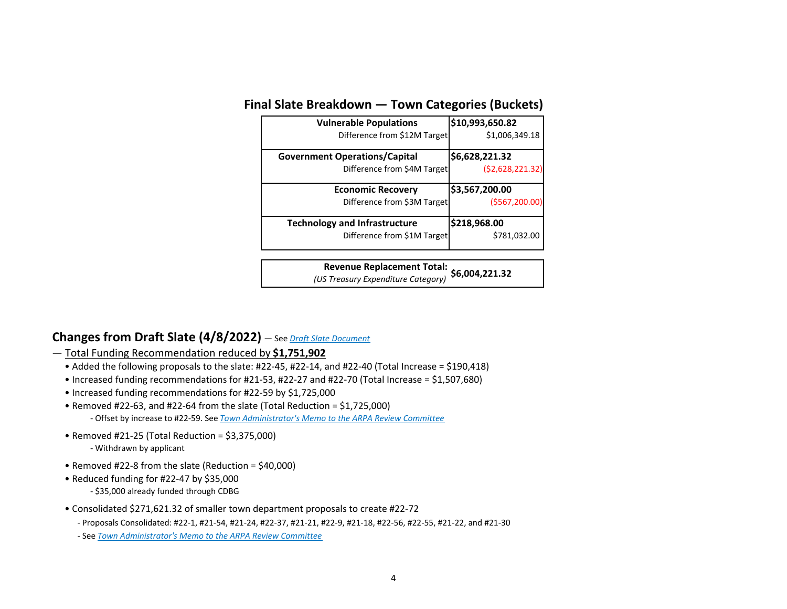#### **Final Slate Breakdown — Town Categories (Buckets)**

| <b>Vulnerable Populations</b>        | \$10,993,650.82   |
|--------------------------------------|-------------------|
| Difference from \$12M Target         | \$1,006,349.18    |
| <b>Government Operations/Capital</b> | \$6,628,221.32    |
| Difference from \$4M Target          | (52, 628, 221.32) |
|                                      |                   |
| <b>Economic Recovery</b>             | \$3,567,200.00    |
| Difference from \$3M Target          | (5567, 200.00)    |
| <b>Technology and Infrastructure</b> | \$218,968.00      |

**\$6,004,221.32 Revenue Replacement Total:** *(US Treasury Expenditure Category)*

#### **Changes from Draft Slate (4/8/2022)** — See *[Draft Slate Document](https://www.brooklinema.gov/DocumentCenter/View/30645/ARPA-Draft-Slate---4-8-22)*

— Total Funding Recommendation reduced by **\$1,751,902**

- Added the following proposals to the slate: #22‐45, #22‐14, and #22‐40 (Total Increase = \$190,418)
- Increased funding recommendations for #21‐53, #22‐27 and #22‐70 (Total Increase = \$1,507,680)
- Increased funding recommendations for #22‐59 by \$1,725,000
- Removed #22‐63, and #22‐64 from the slate (Total Reduction = \$1,725,000) ‐ Offset by increase to #22‐59. See *[Town Administrator's Memo to the ARPA Review Committee](https://www.brooklinema.gov/DocumentCenter/View/30833/Town-Administrators-Memo-to-the-ARPA-Review-Committee---4-15-2022)*
- Removed #21‐25 (Total Reduction = \$3,375,000) ‐ Withdrawn by applicant
- Removed #22‐8 from the slate (Reduction = \$40,000)
- Reduced funding for #22‐47 by \$35,000 ‐ \$35,000 already funded through CDBG
- Consolidated \$271,621.32 of smaller town department proposals to create #22‐72
	- ‐ Proposals Consolidated: #22‐1, #21‐54, #21‐24, #22‐37, #21‐21, #22‐9, #21‐18, #22‐56, #22‐55, #21‐22, and #21‐30
	- ‐ See *[Town Administrator's Memo to the ARPA Review Committee](https://www.brooklinema.gov/DocumentCenter/View/30833/Town-Administrators-Memo-to-the-ARPA-Review-Committee---4-15-2022)*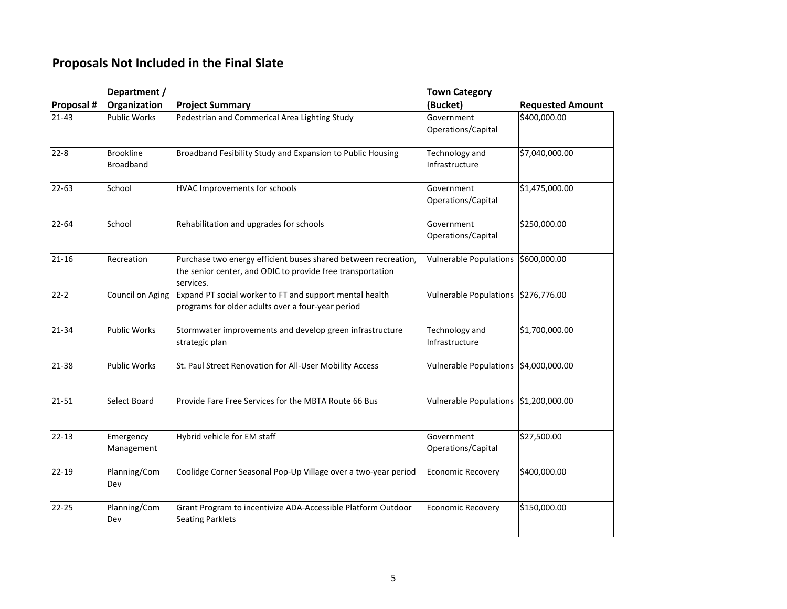### **Proposals Not Included in the Final Slate**

|            | Department /                  |                                                                                                                                           | <b>Town Category</b>             |                         |
|------------|-------------------------------|-------------------------------------------------------------------------------------------------------------------------------------------|----------------------------------|-------------------------|
| Proposal # | Organization                  | <b>Project Summary</b>                                                                                                                    | (Bucket)                         | <b>Requested Amount</b> |
| $21 - 43$  | <b>Public Works</b>           | Pedestrian and Commerical Area Lighting Study                                                                                             | Government<br>Operations/Capital | \$400,000.00            |
| $22 - 8$   | <b>Brookline</b><br>Broadband | Broadband Fesibility Study and Expansion to Public Housing                                                                                | Technology and<br>Infrastructure | \$7,040,000.00          |
| $22 - 63$  | School                        | HVAC Improvements for schools                                                                                                             | Government<br>Operations/Capital | \$1,475,000.00          |
| 22-64      | School                        | Rehabilitation and upgrades for schools                                                                                                   | Government<br>Operations/Capital | \$250,000.00            |
| $21 - 16$  | Recreation                    | Purchase two energy efficient buses shared between recreation,<br>the senior center, and ODIC to provide free transportation<br>services. | <b>Vulnerable Populations</b>    | \$600,000.00            |
| $22-2$     | Council on Aging              | Expand PT social worker to FT and support mental health<br>programs for older adults over a four-year period                              | <b>Vulnerable Populations</b>    | \$276,776.00            |
| 21-34      | <b>Public Works</b>           | Stormwater improvements and develop green infrastructure<br>strategic plan                                                                | Technology and<br>Infrastructure | \$1,700,000.00          |
| 21-38      | <b>Public Works</b>           | St. Paul Street Renovation for All-User Mobility Access                                                                                   | <b>Vulnerable Populations</b>    | \$4,000,000.00          |
| 21-51      | Select Board                  | Provide Fare Free Services for the MBTA Route 66 Bus                                                                                      | <b>Vulnerable Populations</b>    | \$1,200,000.00          |
| $22 - 13$  | Emergency<br>Management       | Hybrid vehicle for EM staff                                                                                                               | Government<br>Operations/Capital | \$27,500.00             |
| $22 - 19$  | Planning/Com<br>Dev           | Coolidge Corner Seasonal Pop-Up Village over a two-year period                                                                            | <b>Economic Recovery</b>         | \$400,000.00            |
| $22 - 25$  | Planning/Com<br>Dev           | Grant Program to incentivize ADA-Accessible Platform Outdoor<br><b>Seating Parklets</b>                                                   | <b>Economic Recovery</b>         | \$150,000.00            |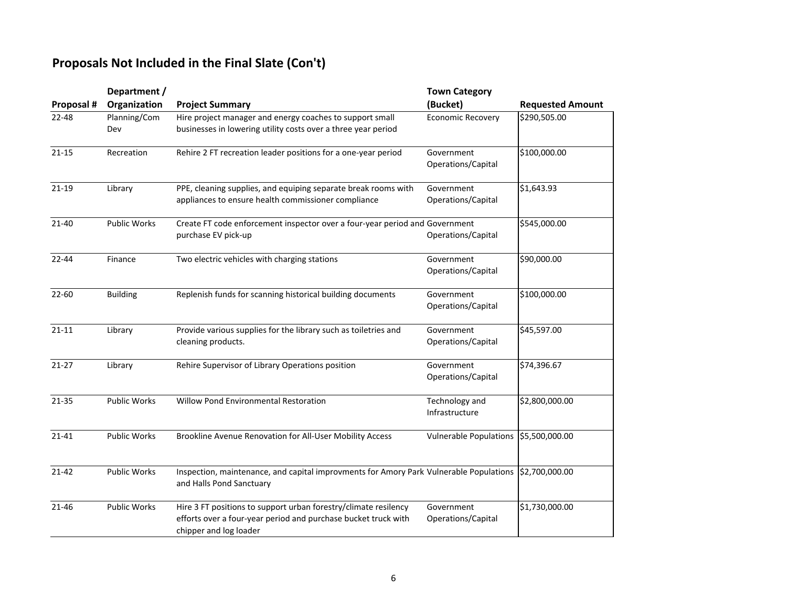## **Proposals Not Included in the Final Slate (Con't)**

|            | Department /        |                                                                                                                                                             | <b>Town Category</b>             |                         |
|------------|---------------------|-------------------------------------------------------------------------------------------------------------------------------------------------------------|----------------------------------|-------------------------|
| Proposal # | Organization        | <b>Project Summary</b>                                                                                                                                      | (Bucket)                         | <b>Requested Amount</b> |
| $22 - 48$  | Planning/Com<br>Dev | Hire project manager and energy coaches to support small<br>businesses in lowering utility costs over a three year period                                   | <b>Economic Recovery</b>         | \$290,505.00            |
| $21 - 15$  | Recreation          | Rehire 2 FT recreation leader positions for a one-year period                                                                                               | Government<br>Operations/Capital | \$100,000.00            |
| $21 - 19$  | Library             | PPE, cleaning supplies, and equiping separate break rooms with<br>appliances to ensure health commissioner compliance                                       | Government<br>Operations/Capital | \$1,643.93              |
| $21 - 40$  | <b>Public Works</b> | Create FT code enforcement inspector over a four-year period and Government<br>purchase EV pick-up                                                          | Operations/Capital               | \$545,000.00            |
| $22 - 44$  | Finance             | Two electric vehicles with charging stations                                                                                                                | Government<br>Operations/Capital | \$90,000.00             |
| $22 - 60$  | <b>Building</b>     | Replenish funds for scanning historical building documents                                                                                                  | Government<br>Operations/Capital | \$100,000.00            |
| $21 - 11$  | Library             | Provide various supplies for the library such as toiletries and<br>cleaning products.                                                                       | Government<br>Operations/Capital | \$45,597.00             |
| $21 - 27$  | Library             | Rehire Supervisor of Library Operations position                                                                                                            | Government<br>Operations/Capital | \$74,396.67             |
| 21-35      | <b>Public Works</b> | <b>Willow Pond Environmental Restoration</b>                                                                                                                | Technology and<br>Infrastructure | \$2,800,000.00          |
| $21 - 41$  | <b>Public Works</b> | Brookline Avenue Renovation for All-User Mobility Access                                                                                                    | <b>Vulnerable Populations</b>    | \$5,500,000.00          |
| $21 - 42$  | Public Works        | Inspection, maintenance, and capital improvments for Amory Park Vulnerable Populations<br>and Halls Pond Sanctuary                                          |                                  | \$2,700,000.00          |
| $21 - 46$  | Public Works        | Hire 3 FT positions to support urban forestry/climate resilency<br>efforts over a four-year period and purchase bucket truck with<br>chipper and log loader | Government<br>Operations/Capital | \$1,730,000.00          |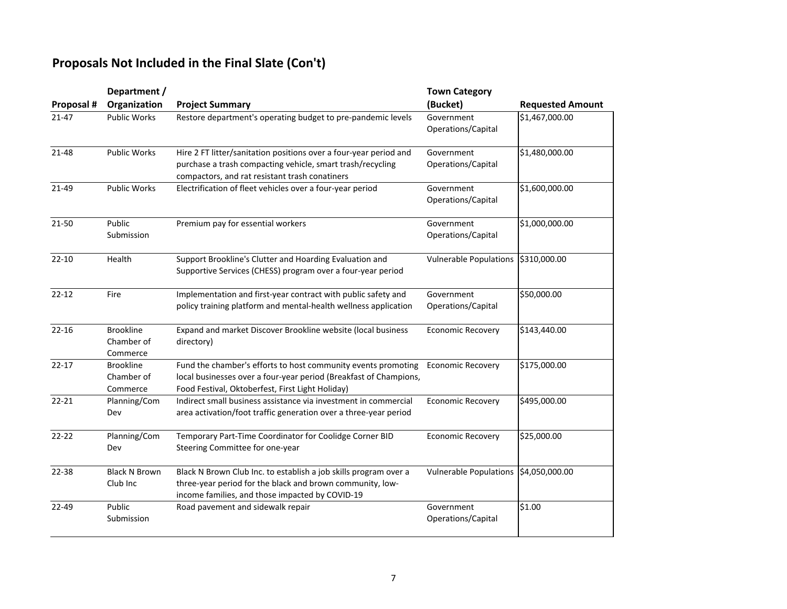## **Proposals Not Included in the Final Slate (Con't)**

|            | Department /                               |                                                                                                                                                                                        | <b>Town Category</b>             |                         |
|------------|--------------------------------------------|----------------------------------------------------------------------------------------------------------------------------------------------------------------------------------------|----------------------------------|-------------------------|
| Proposal # | Organization                               | <b>Project Summary</b>                                                                                                                                                                 | (Bucket)                         | <b>Requested Amount</b> |
| $21 - 47$  | <b>Public Works</b>                        | Restore department's operating budget to pre-pandemic levels                                                                                                                           | Government<br>Operations/Capital | \$1,467,000.00          |
| 21-48      | Public Works                               | Hire 2 FT litter/sanitation positions over a four-year period and<br>purchase a trash compacting vehicle, smart trash/recycling<br>compactors, and rat resistant trash conatiners      | Government<br>Operations/Capital | \$1,480,000.00          |
| 21-49      | Public Works                               | Electrification of fleet vehicles over a four-year period                                                                                                                              | Government<br>Operations/Capital | \$1,600,000.00          |
| 21-50      | Public<br>Submission                       | Premium pay for essential workers                                                                                                                                                      | Government<br>Operations/Capital | \$1,000,000.00          |
| $22 - 10$  | Health                                     | Support Brookline's Clutter and Hoarding Evaluation and<br>Supportive Services (CHESS) program over a four-year period                                                                 | <b>Vulnerable Populations</b>    | \$310,000.00            |
| $22 - 12$  | Fire                                       | Implementation and first-year contract with public safety and<br>policy training platform and mental-health wellness application                                                       | Government<br>Operations/Capital | \$50,000.00             |
| $22 - 16$  | <b>Brookline</b><br>Chamber of<br>Commerce | Expand and market Discover Brookline website (local business<br>directory)                                                                                                             | <b>Economic Recovery</b>         | \$143,440.00            |
| $22 - 17$  | <b>Brookline</b><br>Chamber of<br>Commerce | Fund the chamber's efforts to host community events promoting<br>local businesses over a four-year period (Breakfast of Champions,<br>Food Festival, Oktoberfest, First Light Holiday) | <b>Economic Recovery</b>         | \$175,000.00            |
| $22 - 21$  | Planning/Com<br>Dev                        | Indirect small business assistance via investment in commercial<br>area activation/foot traffic generation over a three-year period                                                    | <b>Economic Recovery</b>         | \$495,000.00            |
| $22 - 22$  | Planning/Com<br>Dev                        | Temporary Part-Time Coordinator for Coolidge Corner BID<br>Steering Committee for one-year                                                                                             | <b>Economic Recovery</b>         | \$25,000.00             |
| 22-38      | <b>Black N Brown</b><br>Club Inc           | Black N Brown Club Inc. to establish a job skills program over a<br>three-year period for the black and brown community, low-<br>income families, and those impacted by COVID-19       | <b>Vulnerable Populations</b>    | \$4,050,000.00          |
| 22-49      | Public<br>Submission                       | Road pavement and sidewalk repair                                                                                                                                                      | Government<br>Operations/Capital | \$1.00                  |